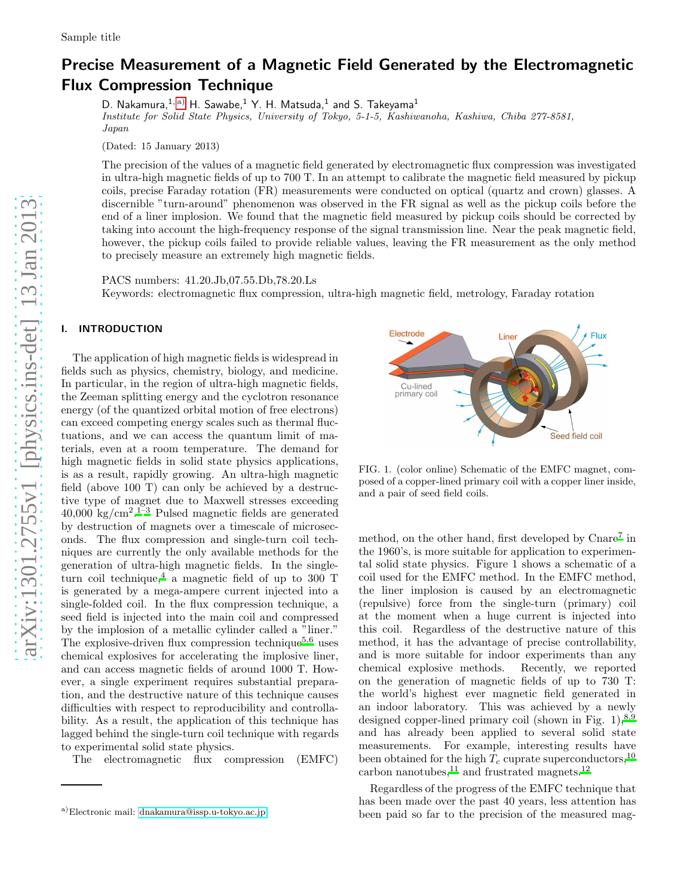# Precise Measurement of a Magnetic Field Generated by the Electromagnetic Flux Compression Technique

D. Nakamura, $^{1,\,\mathrm{a)}}$  $^{1,\,\mathrm{a)}}$  $^{1,\,\mathrm{a)}}$  H. Sawabe, $^{1}$  Y. H. Matsuda, $^{1}$  and S. Takeyama $^{1}$ Institute for Solid State Physics, University of Tokyo, 5-1-5, Kashiwanoha, Kashiwa, Chiba 277-8581, Japan

(Dated: 15 January 2013)

The precision of the values of a magnetic field generated by electromagnetic flux compression was investigated in ultra-high magnetic fields of up to 700 T. In an attempt to calibrate the magnetic field measured by pickup coils, precise Faraday rotation (FR) measurements were conducted on optical (quartz and crown) glasses. A discernible "turn-around" phenomenon was observed in the FR signal as well as the pickup coils before the end of a liner implosion. We found that the magnetic field measured by pickup coils should be corrected by taking into account the high-frequency response of the signal transmission line. Near the peak magnetic field, however, the pickup coils failed to provide reliable values, leaving the FR measurement as the only method to precisely measure an extremely high magnetic fields.

PACS numbers: 41.20.Jb,07.55.Db,78.20.Ls Keywords: electromagnetic flux compression, ultra-high magnetic field, metrology, Faraday rotation

# I. INTRODUCTION

The application of high magnetic fields is widespread in fields such as physics, chemistry, biology, and medicine. In particular, in the region of ultra-high magnetic fields, the Zeeman splitting energy and the cyclotron resonance energy (of the quantized orbital motion of free electrons) can exceed competing energy scales such as thermal fluctuations, and we can access the quantum limit of materials, even at a room temperature. The demand for high magnetic fields in solid state physics applications, is as a result, rapidly growing. An ultra-high magnetic field (above 100 T) can only be achieved by a destructive type of magnet due to Maxwell stresses exceeding  $40,000 \text{ kg/cm}^2$ .<sup>[1](#page-9-0)-3</sup> Pulsed magnetic fields are generated by destruction of magnets over a timescale of microseconds. The flux compression and single-turn coil techniques are currently the only available methods for the generation of ultra-high magnetic fields. In the single-turn coil technique,<sup>[4](#page-9-2)</sup> a magnetic field of up to 300 T is generated by a mega-ampere current injected into a single-folded coil. In the flux compression technique, a seed field is injected into the main coil and compressed by the implosion of a metallic cylinder called a "liner." The explosive-driven flux compression technique<sup>[5](#page-9-3)[,6](#page-9-4)</sup> uses chemical explosives for accelerating the implosive liner, and can access magnetic fields of around 1000 T. However, a single experiment requires substantial preparation, and the destructive nature of this technique causes difficulties with respect to reproducibility and controllability. As a result, the application of this technique has lagged behind the single-turn coil technique with regards to experimental solid state physics.

The electromagnetic flux compression (EMFC)



FIG. 1. (color online) Schematic of the EMFC magnet, composed of a copper-lined primary coil with a copper liner inside, and a pair of seed field coils.

m[e](#page-9-5)thod, on the other hand, first developed by Cnare<sup>7</sup> in the 1960's, is more suitable for application to experimental solid state physics. Figure 1 shows a schematic of a coil used for the EMFC method. In the EMFC method, the liner implosion is caused by an electromagnetic (repulsive) force from the single-turn (primary) coil at the moment when a huge current is injected into this coil. Regardless of the destructive nature of this method, it has the advantage of precise controllability, and is more suitable for indoor experiments than any chemical explosive methods. Recently, we reported on the generation of magnetic fields of up to 730 T: the world's highest ever magnetic field generated in an indoor laboratory. This was achieved by a newly designed copper-lined primary coil (shown in Fig.  $1$ ),<sup>[8](#page-9-6)[,9](#page-10-0)</sup> and has already been applied to several solid state measurements. For example, interesting results have been obtained for the high  $T_c$  cuprate superconductors,<sup>[10](#page-10-1)</sup> carbon nanotubes, $^{11}$  $^{11}$  $^{11}$  and frustrated magnets.<sup>[12](#page-10-3)</sup>

Regardless of the progress of the EMFC technique that has been made over the past 40 years, less attention has been paid so far to the precision of the measured mag-

<span id="page-0-0"></span>a)Electronic mail: [dnakamura@issp.u-tokyo.ac.jp](mailto:dnakamura@issp.u-tokyo.ac.jp)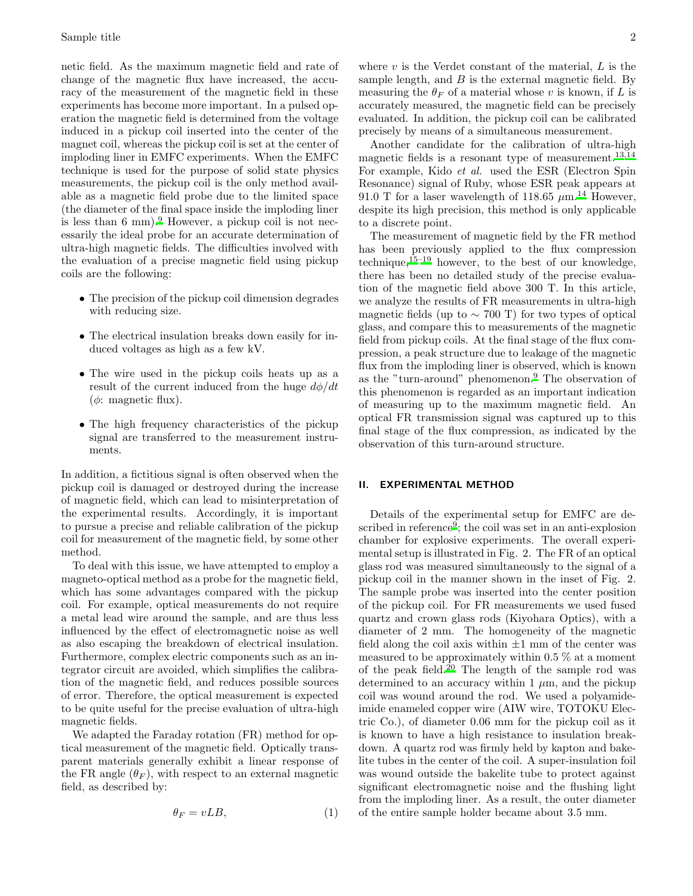netic field. As the maximum magnetic field and rate of change of the magnetic flux have increased, the accuracy of the measurement of the magnetic field in these experiments has become more important. In a pulsed operation the magnetic field is determined from the voltage induced in a pickup coil inserted into the center of the magnet coil, whereas the pickup coil is set at the center of imploding liner in EMFC experiments. When the EMFC technique is used for the purpose of solid state physics measurements, the pickup coil is the only method available as a magnetic field probe due to the limited space (the diameter of the final space inside the imploding liner is less than  $6 \text{ mm}$ .<sup>[9](#page-10-0)</sup> However, a pickup coil is not necessarily the ideal probe for an accurate determination of ultra-high magnetic fields. The difficulties involved with the evaluation of a precise magnetic field using pickup coils are the following:

- The precision of the pickup coil dimension degrades with reducing size.
- The electrical insulation breaks down easily for induced voltages as high as a few kV.
- The wire used in the pickup coils heats up as a result of the current induced from the huge  $d\phi/dt$ ( $\phi$ : magnetic flux).
- The high frequency characteristics of the pickup signal are transferred to the measurement instruments.

In addition, a fictitious signal is often observed when the pickup coil is damaged or destroyed during the increase of magnetic field, which can lead to misinterpretation of the experimental results. Accordingly, it is important to pursue a precise and reliable calibration of the pickup coil for measurement of the magnetic field, by some other method.

To deal with this issue, we have attempted to employ a magneto-optical method as a probe for the magnetic field, which has some advantages compared with the pickup coil. For example, optical measurements do not require a metal lead wire around the sample, and are thus less influenced by the effect of electromagnetic noise as well as also escaping the breakdown of electrical insulation. Furthermore, complex electric components such as an integrator circuit are avoided, which simplifies the calibration of the magnetic field, and reduces possible sources of error. Therefore, the optical measurement is expected to be quite useful for the precise evaluation of ultra-high magnetic fields.

We adapted the Faraday rotation (FR) method for optical measurement of the magnetic field. Optically transparent materials generally exhibit a linear response of the FR angle  $(\theta_F)$ , with respect to an external magnetic field, as described by:

$$
\theta_F = vLB,\tag{1}
$$

where  $v$  is the Verdet constant of the material,  $L$  is the sample length, and  $B$  is the external magnetic field. By measuring the  $\theta_F$  of a material whose v is known, if L is accurately measured, the magnetic field can be precisely evaluated. In addition, the pickup coil can be calibrated precisely by means of a simultaneous measurement.

Another candidate for the calibration of ultra-high magnetic fields is a resonant type of measurement.<sup>[13](#page-10-4)[,14](#page-10-5)</sup> For example, Kido et al. used the ESR (Electron Spin Resonance) signal of Ruby, whose ESR peak appears at 91.0 T for a laser wavelength of 118.65  $\mu$ m.<sup>[14](#page-10-5)</sup> However, despite its high precision, this method is only applicable to a discrete point.

The measurement of magnetic field by the FR method has been previously applied to the flux compression technique, $15-19$  $15-19$  however, to the best of our knowledge, there has been no detailed study of the precise evaluation of the magnetic field above 300 T. In this article, we analyze the results of FR measurements in ultra-high magnetic fields (up to  $\sim$  700 T) for two types of optical glass, and compare this to measurements of the magnetic field from pickup coils. At the final stage of the flux compression, a peak structure due to leakage of the magnetic flux from the imploding liner is observed, which is known as the "turn-around" phenomenon[.](#page-10-0)<sup>9</sup> The observation of this phenomenon is regarded as an important indication of measuring up to the maximum magnetic field. An optical FR transmission signal was captured up to this final stage of the flux compression, as indicated by the observation of this turn-around structure.

# II. EXPERIMENTAL METHOD

Details of the experimental setup for EMFC are de-scribed in reference<sup>[9](#page-10-0)</sup>; the coil was set in an anti-explosion chamber for explosive experiments. The overall experimental setup is illustrated in Fig. 2. The FR of an optical glass rod was measured simultaneously to the signal of a pickup coil in the manner shown in the inset of Fig. 2. The sample probe was inserted into the center position of the pickup coil. For FR measurements we used fused quartz and crown glass rods (Kiyohara Optics), with a diameter of 2 mm. The homogeneity of the magnetic field along the coil axis within  $\pm 1$  mm of the center was measured to be approximately within 0.5 % at a moment of the peak field.[20](#page-10-8) The length of the sample rod was determined to an accuracy within 1  $\mu$ m, and the pickup coil was wound around the rod. We used a polyamideimide enameled copper wire (AIW wire, TOTOKU Electric Co.), of diameter 0.06 mm for the pickup coil as it is known to have a high resistance to insulation breakdown. A quartz rod was firmly held by kapton and bakelite tubes in the center of the coil. A super-insulation foil was wound outside the bakelite tube to protect against significant electromagnetic noise and the flushing light from the imploding liner. As a result, the outer diameter of the entire sample holder became about 3.5 mm.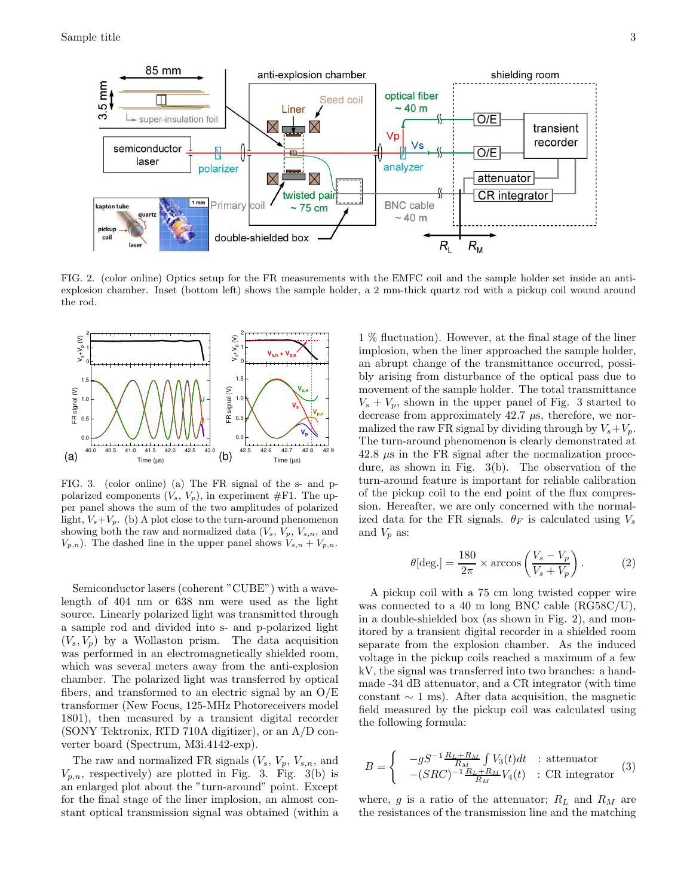

FIG. 2. (color online) Optics setup for the FR measurements with the EMFC coil and the sample holder set inside an antiexplosion chamber. Inset (bottom left) shows the sample holder, a 2 mm-thick quartz rod with a pickup coil wound around the rod.



FIG. 3. (color online) (a) The FR signal of the s- and ppolarized components  $(V_s, V_p)$ , in experiment #F1. The upper panel shows the sum of the two amplitudes of polarized light,  $V_s + V_p$ . (b) A plot close to the turn-around phenomenon showing both the raw and normalized data  $(V_s, V_p, V_{s,n})$ , and  $V_{p,n}$ ). The dashed line in the upper panel shows  $V_{s,n} + V_{p,n}$ .

Semiconductor lasers (coherent "CUBE") with a wavelength of 404 nm or 638 nm were used as the light source. Linearly polarized light was transmitted through a sample rod and divided into s- and p-polarized light  $(V_s, V_p)$  by a Wollaston prism. The data acquisition was performed in an electromagnetically shielded room, which was several meters away from the anti-explosion chamber. The polarized light was transferred by optical fibers, and transformed to an electric signal by an  $O/E$ transformer (New Focus, 125-MHz Photoreceivers model 1801), then measured by a transient digital recorder (SONY Tektronix, RTD 710A digitizer), or an A/D converter board (Spectrum, M3i.4142-exp).

The raw and normalized FR signals  $(V_s, V_p, V_{s,n},$  and  $V_{p,n}$ , respectively) are plotted in Fig. 3. Fig. 3(b) is an enlarged plot about the "turn-around" point. Except for the final stage of the liner implosion, an almost constant optical transmission signal was obtained (within a

1 % fluctuation). However, at the final stage of the liner implosion, when the liner approached the sample holder, an abrupt change of the transmittance occurred, possibly arising from disturbance of the optical pass due to movement of the sample holder. The total transmittance  $V_s + V_p$ , shown in the upper panel of Fig. 3 started to decrease from approximately  $42.7 \mu s$ , therefore, we normalized the raw FR signal by dividing through by  $V_s + V_p$ . The turn-around phenomenon is clearly demonstrated at  $42.8 \mu s$  in the FR signal after the normalization procedure, as shown in Fig. 3(b). The observation of the turn-around feature is important for reliable calibration of the pickup coil to the end point of the flux compression. Hereafter, we are only concerned with the normalized data for the FR signals.  $\theta_F$  is calculated using  $V_s$ and  $V_p$  as:

$$
\theta[\text{deg.}] = \frac{180}{2\pi} \times \arccos\left(\frac{V_s - V_p}{V_s + V_p}\right). \tag{2}
$$

A pickup coil with a 75 cm long twisted copper wire was connected to a 40 m long BNC cable (RG58C/U), in a double-shielded box (as shown in Fig. 2), and monitored by a transient digital recorder in a shielded room separate from the explosion chamber. As the induced voltage in the pickup coils reached a maximum of a few kV, the signal was transferred into two branches: a handmade -34 dB attenuator, and a CR integrator (with time constant  $\sim$  1 ms). After data acquisition, the magnetic field measured by the pickup coil was calculated using the following formula:

$$
B = \begin{cases} \n-gS^{-1} \frac{R_L + R_M}{R_M} \int V_3(t)dt & \text{: attenuation} \\ \n-(SRC)^{-1} \frac{R_L + R_M}{R_M} V_4(t) & \text{: CR integrator} \n\end{cases} (3)
$$

where,  $g$  is a ratio of the attenuator;  $R_L$  and  $R_M$  are the resistances of the transmission line and the matching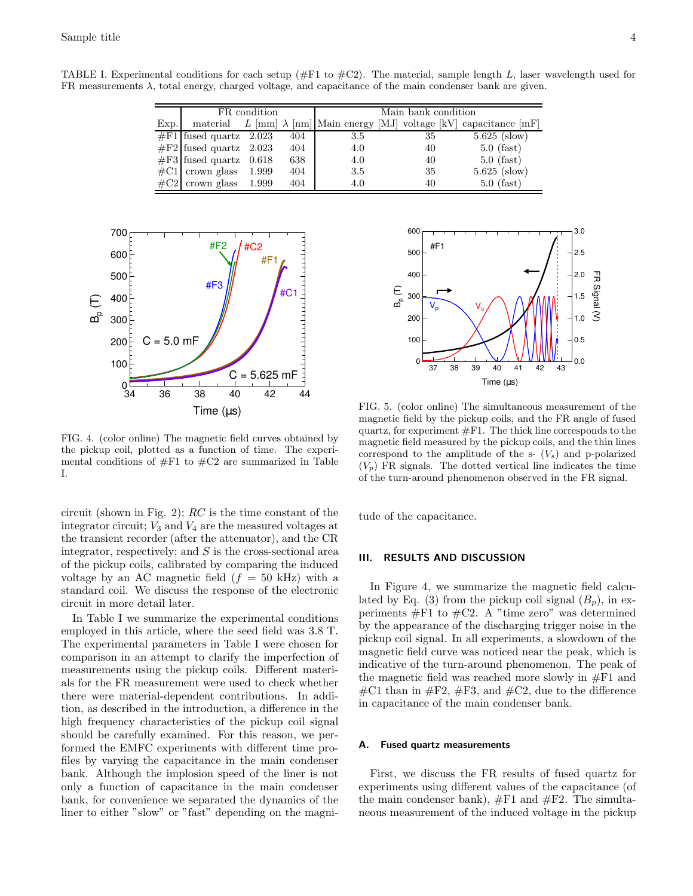TABLE I. Experimental conditions for each setup ( $#F1$  to  $#C2$ ). The material, sample length L, laser wavelength used for FR measurements  $\lambda$ , total energy, charged voltage, and capacitance of the main condenser bank are given.

|      | FR condition                    |  |     | Main bank condition |    |                                                                               |
|------|---------------------------------|--|-----|---------------------|----|-------------------------------------------------------------------------------|
| Exp. |                                 |  |     |                     |    | material L [mm] $\lambda$ [nm] Main energy [MJ] voltage [kV] capacitance [mF] |
|      | $#F1$ fused quartz 2.023        |  | 404 | 3.5                 | 35 | $5.625$ (slow)                                                                |
|      | $\#F2$ fused quartz 2.023       |  | 404 | 4.0                 | 40 | $5.0$ (fast)                                                                  |
|      | $\#F3$ fused quartz 0.618       |  | 638 | 4.0                 | 40 | $5.0$ (fast)                                                                  |
|      | $\#C1$ crown glass 1.999        |  | 404 | 3.5                 | 35 | $5.625$ (slow)                                                                |
|      | $\#\text{C2}$ crown glass 1.999 |  | 404 | 4.0                 | 40 | $5.0$ (fast)                                                                  |



FIG. 4. (color online) The magnetic field curves obtained by the pickup coil, plotted as a function of time. The experimental conditions of  $#F1$  to  $#C2$  are summarized in Table I.

circuit (shown in Fig. 2);  $RC$  is the time constant of the integrator circuit;  $V_3$  and  $V_4$  are the measured voltages at the transient recorder (after the attenuator), and the CR integrator, respectively; and  $S$  is the cross-sectional area of the pickup coils, calibrated by comparing the induced voltage by an AC magnetic field  $(f = 50 \text{ kHz})$  with a standard coil. We discuss the response of the electronic circuit in more detail later.

In Table I we summarize the experimental conditions employed in this article, where the seed field was 3.8 T. The experimental parameters in Table I were chosen for comparison in an attempt to clarify the imperfection of measurements using the pickup coils. Different materials for the FR measurement were used to check whether there were material-dependent contributions. In addition, as described in the introduction, a difference in the high frequency characteristics of the pickup coil signal should be carefully examined. For this reason, we performed the EMFC experiments with different time profiles by varying the capacitance in the main condenser bank. Although the implosion speed of the liner is not only a function of capacitance in the main condenser bank, for convenience we separated the dynamics of the liner to either "slow" or "fast" depending on the magni-



FIG. 5. (color online) The simultaneous measurement of the magnetic field by the pickup coils, and the FR angle of fused quartz, for experiment  $#F1$ . The thick line corresponds to the magnetic field measured by the pickup coils, and the thin lines correspond to the amplitude of the s-  $(V<sub>s</sub>)$  and p-polarized  $(V_p)$  FR signals. The dotted vertical line indicates the time of the turn-around phenomenon observed in the FR signal.

tude of the capacitance.

#### III. RESULTS AND DISCUSSION

In Figure 4, we summarize the magnetic field calculated by Eq. (3) from the pickup coil signal  $(B_p)$ , in experiments  $#F1$  to  $#C2$ . A "time zero" was determined by the appearance of the discharging trigger noise in the pickup coil signal. In all experiments, a slowdown of the magnetic field curve was noticed near the peak, which is indicative of the turn-around phenomenon. The peak of the magnetic field was reached more slowly in #F1 and  $\#C1$  than in  $\#F2$ ,  $\#F3$ , and  $\#C2$ , due to the difference in capacitance of the main condenser bank.

#### A. Fused quartz measurements

First, we discuss the FR results of fused quartz for experiments using different values of the capacitance (of the main condenser bank),  $\#F1$  and  $\#F2$ . The simultaneous measurement of the induced voltage in the pickup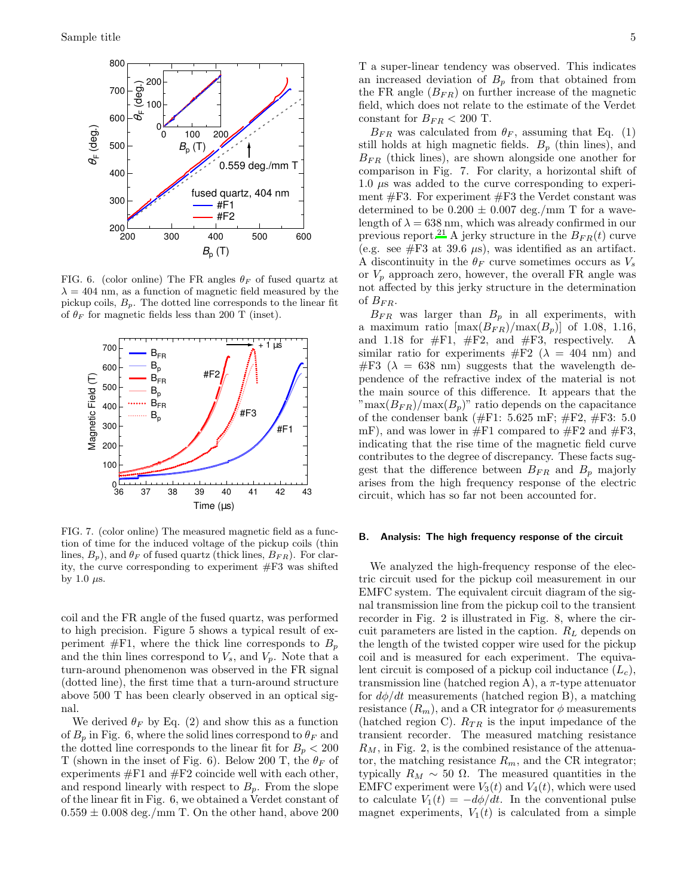

FIG. 6. (color online) The FR angles  $\theta_F$  of fused quartz at  $\lambda = 404$  nm, as a function of magnetic field measured by the pickup coils,  $B_p$ . The dotted line corresponds to the linear fit of  $\theta_F$  for magnetic fields less than 200 T (inset).



FIG. 7. (color online) The measured magnetic field as a function of time for the induced voltage of the pickup coils (thin lines,  $B_p$ ), and  $\theta_F$  of fused quartz (thick lines,  $B_{FR}$ ). For clarity, the curve corresponding to experiment #F3 was shifted by 1.0  $\mu$ s.

coil and the FR angle of the fused quartz, was performed to high precision. Figure 5 shows a typical result of experiment  $#F1$ , where the thick line corresponds to  $B_p$ and the thin lines correspond to  $V_s$ , and  $V_p$ . Note that a turn-around phenomenon was observed in the FR signal (dotted line), the first time that a turn-around structure above 500 T has been clearly observed in an optical signal.

We derived  $\theta_F$  by Eq. (2) and show this as a function of  $B_p$  in Fig. 6, where the solid lines correspond to  $\theta_F$  and the dotted line corresponds to the linear fit for  $B_p < 200$ T (shown in the inset of Fig. 6). Below 200 T, the  $\theta_F$  of experiments  $#F1$  and  $#F2$  coincide well with each other, and respond linearly with respect to  $B_p$ . From the slope of the linear fit in Fig. 6, we obtained a Verdet constant of  $0.559 \pm 0.008$  deg./mm T. On the other hand, above 200

T a super-linear tendency was observed. This indicates an increased deviation of  $B_p$  from that obtained from the FR angle  $(B_{FR})$  on further increase of the magnetic field, which does not relate to the estimate of the Verdet constant for  $B_{FR}$  < 200 T.

 $B_{FR}$  was calculated from  $\theta_F$ , assuming that Eq. (1) still holds at high magnetic fields.  $B_p$  (thin lines), and  $B_{FR}$  (thick lines), are shown alongside one another for comparison in Fig. 7. For clarity, a horizontal shift of 1.0 µs was added to the curve corresponding to experiment #F3. For experiment #F3 the Verdet constant was determined to be  $0.200 \pm 0.007$  deg./mm T for a wavelength of  $\lambda = 638$  nm, which was already confirmed in our previous report.<sup>[21](#page-10-9)</sup> A jerky structure in the  $B_{FR}(t)$  curve (e.g. see  $\#F3$  at 39.6  $\mu$ s), was identified as an artifact. A discontinuity in the  $\theta_F$  curve sometimes occurs as  $V_s$ or  $V_p$  approach zero, however, the overall FR angle was not affected by this jerky structure in the determination of  $B_{FR}$ .

 $B_{FR}$  was larger than  $B_p$  in all experiments, with a maximum ratio  $[\max(B_{FR})/ \max(B_p)]$  of 1.08, 1.16, and 1.18 for  $\#F1$ ,  $\#F2$ , and  $\#F3$ , respectively. A similar ratio for experiments  $\#F2$  ( $\lambda = 404$  nm) and  $#F3$  ( $\lambda = 638$  nm) suggests that the wavelength dependence of the refractive index of the material is not the main source of this difference. It appears that the  $\text{max}(B_{FR})/\text{max}(B_p)$ " ratio depends on the capacitance of the condenser bank ( $\#F1: 5.625$  mF;  $\#F2, \#F3: 5.0$ mF), and was lower in  $#F1$  compared to  $#F2$  and  $#F3$ , indicating that the rise time of the magnetic field curve contributes to the degree of discrepancy. These facts suggest that the difference between  $B_{FR}$  and  $B_p$  majorly arises from the high frequency response of the electric circuit, which has so far not been accounted for.

#### B. Analysis: The high frequency response of the circuit

We analyzed the high-frequency response of the electric circuit used for the pickup coil measurement in our EMFC system. The equivalent circuit diagram of the signal transmission line from the pickup coil to the transient recorder in Fig. 2 is illustrated in Fig. 8, where the circuit parameters are listed in the caption.  $R_L$  depends on the length of the twisted copper wire used for the pickup coil and is measured for each experiment. The equivalent circuit is composed of a pickup coil inductance  $(L_c)$ , transmission line (hatched region A), a π-type attenuator for  $d\phi/dt$  measurements (hatched region B), a matching resistance  $(R_m)$ , and a CR integrator for  $\phi$  measurements (hatched region C).  $R_{TR}$  is the input impedance of the transient recorder. The measured matching resistance  $R_M$ , in Fig. 2, is the combined resistance of the attenuator, the matching resistance  $R_m$ , and the CR integrator; typically  $R_M \sim 50$  Ω. The measured quantities in the EMFC experiment were  $V_3(t)$  and  $V_4(t)$ , which were used to calculate  $V_1(t) = -d\phi/dt$ . In the conventional pulse magnet experiments,  $V_1(t)$  is calculated from a simple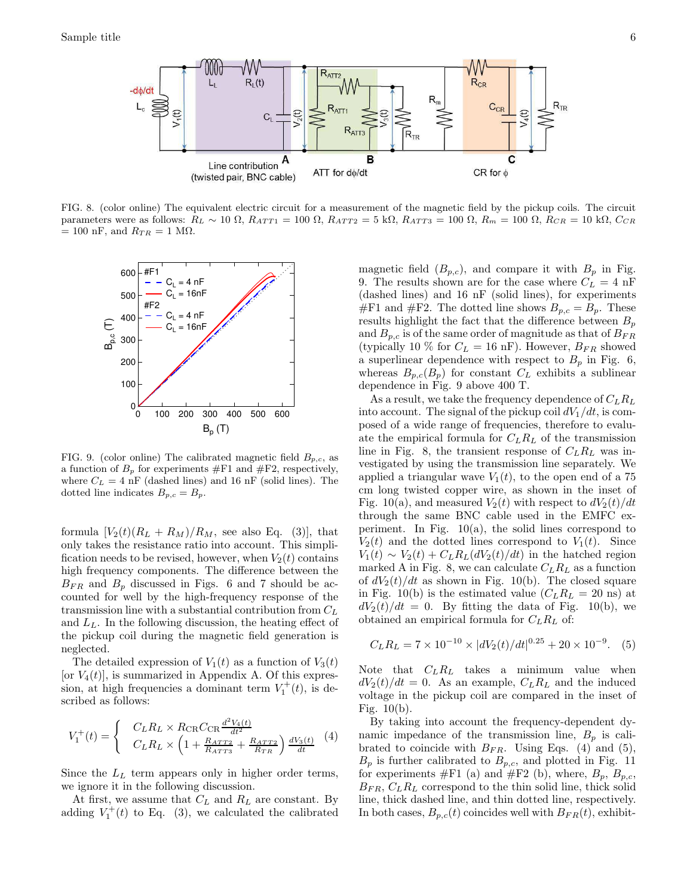

FIG. 8. (color online) The equivalent electric circuit for a measurement of the magnetic field by the pickup coils. The circuit parameters were as follows:  $R_L \sim 10 \Omega$ ,  $R_{ATT1} = 100 \Omega$ ,  $R_{ATT2} = 5 \text{ k}\Omega$ ,  $R_{ATT3} = 100 \Omega$ ,  $R_{m} = 100 \Omega$ ,  $R_{CR} = 10 \text{ k}\Omega$ ,  $C_{CR}$  $= 100$  nF, and  $R_{TR} = 1$  M $\Omega$ .



FIG. 9. (color online) The calibrated magnetic field  $B_{p,c}$ , as a function of  $B_p$  for experiments  $#F1$  and  $#F2$ , respectively, where  $C_L = 4$  nF (dashed lines) and 16 nF (solid lines). The dotted line indicates  $B_{p,c} = B_p$ .

formula  $[V_2(t)(R_L + R_M)/R_M$ , see also Eq. (3), that only takes the resistance ratio into account. This simplification needs to be revised, however, when  $V_2(t)$  contains high frequency components. The difference between the  $B_{FR}$  and  $B_p$  discussed in Figs. 6 and 7 should be accounted for well by the high-frequency response of the transmission line with a substantial contribution from  $C_L$ and  $L<sub>L</sub>$ . In the following discussion, the heating effect of the pickup coil during the magnetic field generation is neglected.

The detailed expression of  $V_1(t)$  as a function of  $V_3(t)$ [or  $V_4(t)$ ], is summarized in Appendix A. Of this expression, at high frequencies a dominant term  $V_1^+(t)$ , is described as follows:

$$
V_1^+(t) = \begin{cases} C_L R_L \times R_{\text{CR}} C_{\text{CR}} \frac{d^2 V_4(t)}{dt^2} \\ C_L R_L \times \left(1 + \frac{R_{ATT2}}{R_{ATT3}} + \frac{R_{ATT2}}{R_{TR}}\right) \frac{d V_3(t)}{dt} \end{cases} (4)
$$

Since the  $L<sub>L</sub>$  term appears only in higher order terms, we ignore it in the following discussion.

At first, we assume that  $C_L$  and  $R_L$  are constant. By adding  $V_1^+(t)$  to Eq. (3), we calculated the calibrated

magnetic field  $(B_{p,c})$ , and compare it with  $B_p$  in Fig. 9. The results shown are for the case where  $C_L = 4 \text{ nF}$ (dashed lines) and 16 nF (solid lines), for experiments  $#F1$  and  $#F2$ . The dotted line shows  $B_{p,c} = B_p$ . These results highlight the fact that the difference between  $B_p$ and  $B_{p,c}$  is of the same order of magnitude as that of  $B_{FR}$ (typically 10 % for  $C_L = 16$  nF). However,  $B_{FR}$  showed a superlinear dependence with respect to  $B_p$  in Fig. 6, whereas  $B_{p,c}(B_p)$  for constant  $C_L$  exhibits a sublinear dependence in Fig. 9 above 400 T.

As a result, we take the frequency dependence of  $C_L R_L$ into account. The signal of the pickup coil  $dV_1/dt$ , is composed of a wide range of frequencies, therefore to evaluate the empirical formula for  $C_L R_L$  of the transmission line in Fig. 8, the transient response of  $C_L R_L$  was investigated by using the transmission line separately. We applied a triangular wave  $V_1(t)$ , to the open end of a 75 cm long twisted copper wire, as shown in the inset of Fig. 10(a), and measured  $V_2(t)$  with respect to  $dV_2(t)/dt$ through the same BNC cable used in the EMFC experiment. In Fig.  $10(a)$ , the solid lines correspond to  $V_2(t)$  and the dotted lines correspond to  $V_1(t)$ . Since  $V_1(t) \sim V_2(t) + C_L R_L (dV_2(t)/dt)$  in the hatched region marked A in Fig. 8, we can calculate  $C_L R_L$  as a function of  $dV_2(t)/dt$  as shown in Fig. 10(b). The closed square in Fig. 10(b) is the estimated value  $(C_L R_L = 20 \text{ ns})$  at  $dV_2(t)/dt = 0$ . By fitting the data of Fig. 10(b), we obtained an empirical formula for  $C_L R_L$  of:

$$
C_L R_L = 7 \times 10^{-10} \times |dV_2(t)/dt|^{0.25} + 20 \times 10^{-9}.
$$
 (5)

Note that  $C_L R_L$  takes a minimum value when  $dV_2(t)/dt = 0$ . As an example,  $C_L R_L$  and the induced voltage in the pickup coil are compared in the inset of Fig. 10(b).

By taking into account the frequency-dependent dynamic impedance of the transmission line,  $B_p$  is calibrated to coincide with  $B_{FR}$ . Using Eqs. (4) and (5),  $B_p$  is further calibrated to  $B_{p,c}$ , and plotted in Fig. 11 for experiments  $#F1$  (a) and  $#F2$  (b), where,  $B_p$ ,  $B_{p,c}$ ,  $B_{FR}, C_L R_L$  correspond to the thin solid line, thick solid line, thick dashed line, and thin dotted line, respectively. In both cases,  $B_{p,c}(t)$  coincides well with  $B_{FR}(t)$ , exhibit-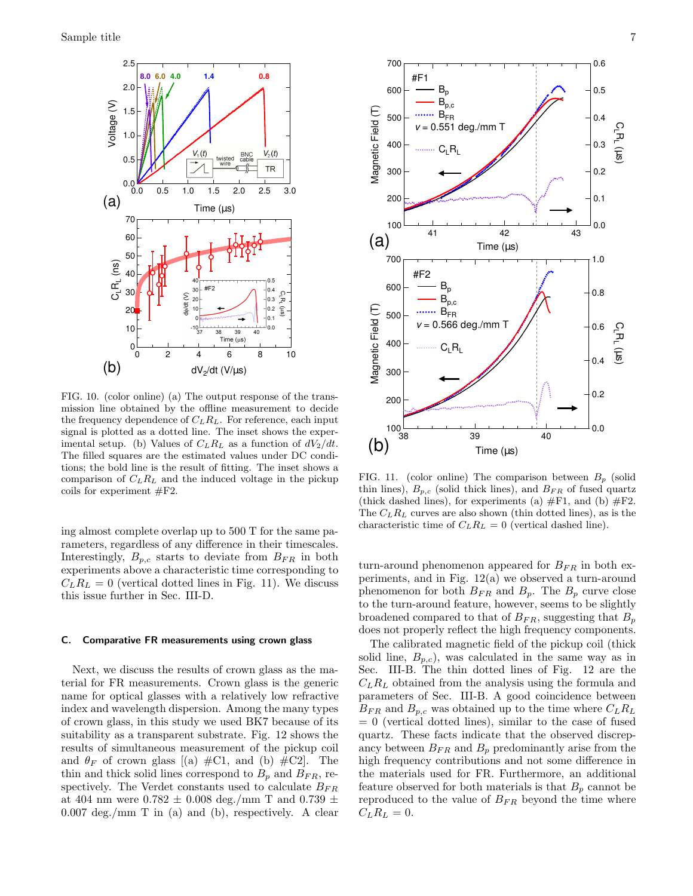

FIG. 10. (color online) (a) The output response of the transmission line obtained by the offline measurement to decide the frequency dependence of  $C_L R_L$ . For reference, each input signal is plotted as a dotted line. The inset shows the experimental setup. (b) Values of  $C_L R_L$  as a function of  $dV_2/dt$ . The filled squares are the estimated values under DC conditions; the bold line is the result of fitting. The inset shows a comparison of  $C_L R_L$  and the induced voltage in the pickup coils for experiment #F2.

ing almost complete overlap up to 500 T for the same parameters, regardless of any difference in their timescales. Interestingly,  $B_{p,c}$  starts to deviate from  $B_{FR}$  in both experiments above a characteristic time corresponding to  $C_L R_L = 0$  (vertical dotted lines in Fig. 11). We discuss this issue further in Sec. III-D.

## C. Comparative FR measurements using crown glass

Next, we discuss the results of crown glass as the material for FR measurements. Crown glass is the generic name for optical glasses with a relatively low refractive index and wavelength dispersion. Among the many types of crown glass, in this study we used BK7 because of its suitability as a transparent substrate. Fig. 12 shows the results of simultaneous measurement of the pickup coil and  $\theta_F$  of crown glass [(a) #C1, and (b) #C2]. The thin and thick solid lines correspond to  $B_p$  and  $B_{FR}$ , respectively. The Verdet constants used to calculate  $B_{FR}$ at 404 nm were  $0.782 \pm 0.008$  deg./mm T and  $0.739 \pm 0.008$ 0.007 deg./mm T in (a) and (b), respectively. A clear



FIG. 11. (color online) The comparison between  $B_p$  (solid thin lines),  $B_{p,c}$  (solid thick lines), and  $B_{FR}$  of fused quartz (thick dashed lines), for experiments (a)  $\#F1$ , and (b)  $\#F2$ . The  $C_L R_L$  curves are also shown (thin dotted lines), as is the characteristic time of  $C_L R_L = 0$  (vertical dashed line).

turn-around phenomenon appeared for  $B_{FR}$  in both experiments, and in Fig. 12(a) we observed a turn-around phenomenon for both  $B_{FR}$  and  $B_p$ . The  $B_p$  curve close to the turn-around feature, however, seems to be slightly broadened compared to that of  $B_{FR}$ , suggesting that  $B_p$ does not properly reflect the high frequency components.

The calibrated magnetic field of the pickup coil (thick solid line,  $B_{p,c}$ , was calculated in the same way as in Sec. III-B. The thin dotted lines of Fig. 12 are the  $C_L R_L$  obtained from the analysis using the formula and parameters of Sec. III-B. A good coincidence between  $B_{FR}$  and  $B_{p,c}$  was obtained up to the time where  $C_L R_L$  $= 0$  (vertical dotted lines), similar to the case of fused quartz. These facts indicate that the observed discrepancy between  $B_{FR}$  and  $B_p$  predominantly arise from the high frequency contributions and not some difference in the materials used for FR. Furthermore, an additional feature observed for both materials is that  $B_p$  cannot be reproduced to the value of  $B_{FR}$  beyond the time where  $C_L R_L = 0.$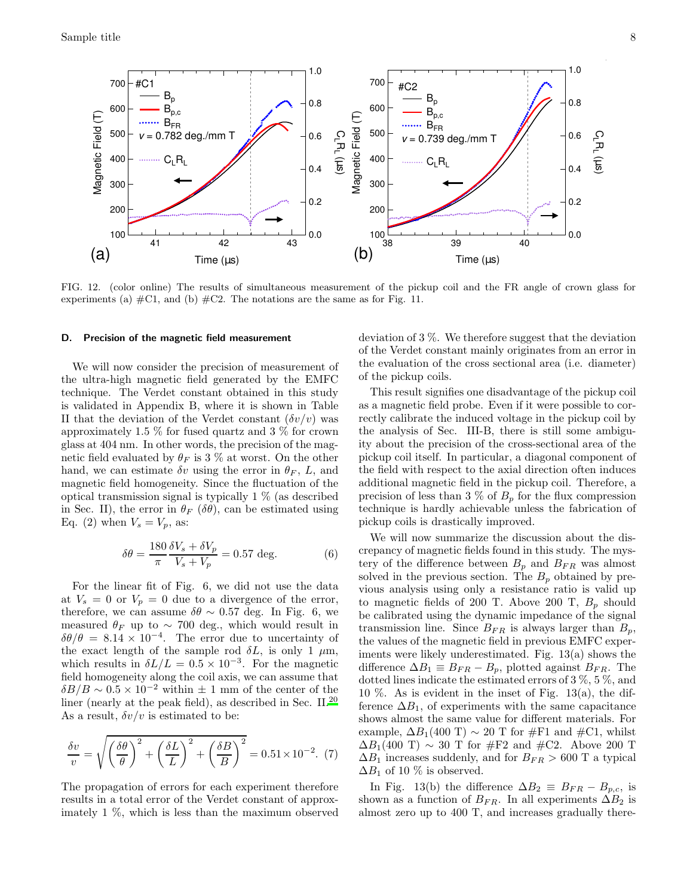

FIG. 12. (color online) The results of simultaneous measurement of the pickup coil and the FR angle of crown glass for experiments (a)  $\#C1$ , and (b)  $\#C2$ . The notations are the same as for Fig. 11.

#### D. Precision of the magnetic field measurement

We will now consider the precision of measurement of the ultra-high magnetic field generated by the EMFC technique. The Verdet constant obtained in this study is validated in Appendix B, where it is shown in Table II that the deviation of the Verdet constant  $(\delta v/v)$  was approximately 1.5 % for fused quartz and 3 % for crown glass at 404 nm. In other words, the precision of the magnetic field evaluated by  $\theta_F$  is 3 % at worst. On the other hand, we can estimate  $\delta v$  using the error in  $\theta_F$ , L, and magnetic field homogeneity. Since the fluctuation of the optical transmission signal is typically 1 % (as described in Sec. II), the error in  $\theta_F$  ( $\delta\theta$ ), can be estimated using Eq. (2) when  $V_s = V_p$ , as:

$$
\delta\theta = \frac{180}{\pi} \frac{\delta V_s + \delta V_p}{V_s + V_p} = 0.57 \text{ deg.}
$$
 (6)

For the linear fit of Fig. 6, we did not use the data at  $V_s = 0$  or  $V_p = 0$  due to a divergence of the error, therefore, we can assume  $\delta\theta \sim 0.57$  deg. In Fig. 6, we measured  $\theta_F$  up to ~ 700 deg., which would result in  $\delta\theta/\theta = 8.14 \times 10^{-4}$ . The error due to uncertainty of the exact length of the sample rod  $\delta L$ , is only 1  $\mu$ m, which results in  $\delta L/L = 0.5 \times 10^{-3}$ . For the magnetic field homogeneity along the coil axis, we can assume that  $\delta B/B \sim 0.5 \times 10^{-2}$  within  $\pm$  1 mm of the center of the liner (nearly at the peak field), as described in Sec. II.[20](#page-10-8) As a result,  $\delta v/v$  is estimated to be:

$$
\frac{\delta v}{v} = \sqrt{\left(\frac{\delta \theta}{\theta}\right)^2 + \left(\frac{\delta L}{L}\right)^2 + \left(\frac{\delta B}{B}\right)^2} = 0.51 \times 10^{-2}.
$$
 (7)

The propagation of errors for each experiment therefore results in a total error of the Verdet constant of approximately 1 %, which is less than the maximum observed deviation of 3 %. We therefore suggest that the deviation of the Verdet constant mainly originates from an error in the evaluation of the cross sectional area (i.e. diameter) of the pickup coils.

This result signifies one disadvantage of the pickup coil as a magnetic field probe. Even if it were possible to correctly calibrate the induced voltage in the pickup coil by the analysis of Sec. III-B, there is still some ambiguity about the precision of the cross-sectional area of the pickup coil itself. In particular, a diagonal component of the field with respect to the axial direction often induces additional magnetic field in the pickup coil. Therefore, a precision of less than 3 % of  $B_p$  for the flux compression technique is hardly achievable unless the fabrication of pickup coils is drastically improved.

We will now summarize the discussion about the discrepancy of magnetic fields found in this study. The mystery of the difference between  $B_p$  and  $B_{FR}$  was almost solved in the previous section. The  $B_p$  obtained by previous analysis using only a resistance ratio is valid up to magnetic fields of 200 T. Above 200 T,  $B_p$  should be calibrated using the dynamic impedance of the signal transmission line. Since  $B_{FR}$  is always larger than  $B_p$ , the values of the magnetic field in previous EMFC experiments were likely underestimated. Fig. 13(a) shows the difference  $\Delta B_1 \equiv B_{FR} - B_p$ , plotted against  $B_{FR}$ . The dotted lines indicate the estimated errors of 3 %, 5 %, and 10 %. As is evident in the inset of Fig. 13(a), the difference  $\Delta B_1$ , of experiments with the same capacitance shows almost the same value for different materials. For example,  $\Delta B_1(400 \text{ T}) \sim 20 \text{ T}$  for #F1 and #C1, whilst  $\Delta B_1(400 \text{ T}) \sim 30 \text{ T}$  for #F2 and #C2. Above 200 T  $\Delta B_1$  increases suddenly, and for  $B_{FR} > 600$  T a typical  $\Delta B_1$  of 10 % is observed.

In Fig. 13(b) the difference  $\Delta B_2 \equiv B_{FR} - B_{p,c}$ , is shown as a function of  $B_{FR}$ . In all experiments  $\Delta B_2$  is almost zero up to 400 T, and increases gradually there-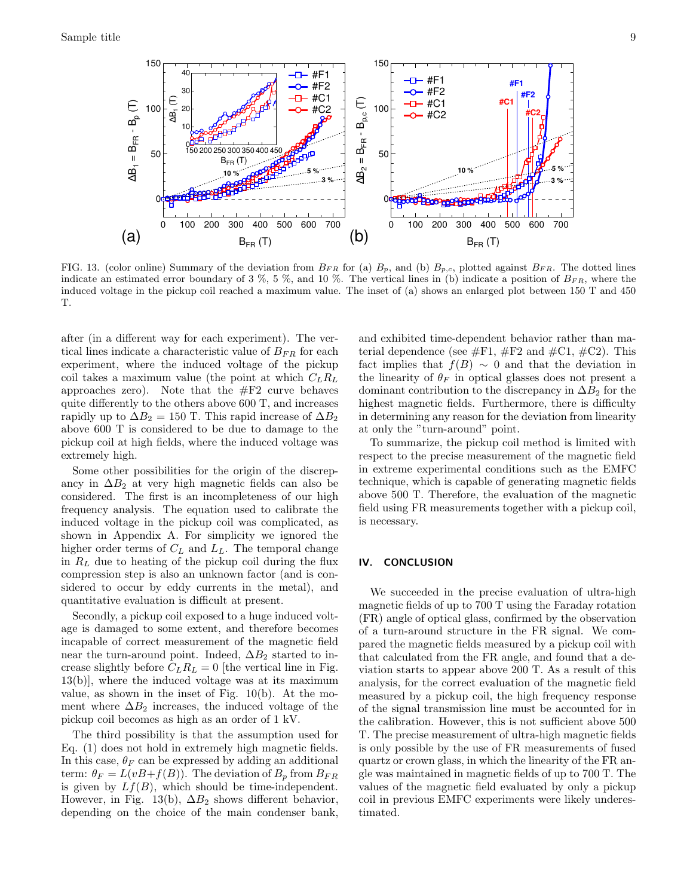

FIG. 13. (color online) Summary of the deviation from  $B_{FR}$  for (a)  $B_p$ , and (b)  $B_{p,c}$ , plotted against  $B_{FR}$ . The dotted lines indicate an estimated error boundary of 3 %, 5 %, and 10 %. The vertical lines in (b) indicate a position of  $B_{FR}$ , where the induced voltage in the pickup coil reached a maximum value. The inset of (a) shows an enlarged plot between 150 T and 450 T.

after (in a different way for each experiment). The vertical lines indicate a characteristic value of  $B_{FR}$  for each experiment, where the induced voltage of the pickup coil takes a maximum value (the point at which  $C_L R_L$ ) approaches zero). Note that the  $#F2$  curve behaves quite differently to the others above 600 T, and increases rapidly up to  $\Delta B_2 = 150$  T. This rapid increase of  $\Delta B_2$ above 600 T is considered to be due to damage to the pickup coil at high fields, where the induced voltage was extremely high.

Some other possibilities for the origin of the discrepancy in  $\Delta B_2$  at very high magnetic fields can also be considered. The first is an incompleteness of our high frequency analysis. The equation used to calibrate the induced voltage in the pickup coil was complicated, as shown in Appendix A. For simplicity we ignored the higher order terms of  $C_L$  and  $\mathcal{L}_L.$  The temporal change in  $R_L$  due to heating of the pickup coil during the flux compression step is also an unknown factor (and is considered to occur by eddy currents in the metal), and quantitative evaluation is difficult at present.

Secondly, a pickup coil exposed to a huge induced voltage is damaged to some extent, and therefore becomes incapable of correct measurement of the magnetic field near the turn-around point. Indeed,  $\Delta B_2$  started to increase slightly before  $C_L R_L = 0$  [the vertical line in Fig. 13(b)], where the induced voltage was at its maximum value, as shown in the inset of Fig. 10(b). At the moment where  $\Delta B_2$  increases, the induced voltage of the pickup coil becomes as high as an order of 1 kV.

The third possibility is that the assumption used for Eq. (1) does not hold in extremely high magnetic fields. In this case,  $\theta_F$  can be expressed by adding an additional term:  $\theta_F = L(vB+f(B))$ . The deviation of  $B_p$  from  $B_{FR}$ is given by  $Lf(B)$ , which should be time-independent. However, in Fig. 13(b),  $\Delta B_2$  shows different behavior, depending on the choice of the main condenser bank,

and exhibited time-dependent behavior rather than material dependence (see  $\#F1$ ,  $\#F2$  and  $\#C1$ ,  $\#C2$ ). This fact implies that  $f(B) \sim 0$  and that the deviation in the linearity of  $\theta_F$  in optical glasses does not present a dominant contribution to the discrepancy in  $\Delta B_2$  for the highest magnetic fields. Furthermore, there is difficulty in determining any reason for the deviation from linearity at only the "turn-around" point.

To summarize, the pickup coil method is limited with respect to the precise measurement of the magnetic field in extreme experimental conditions such as the EMFC technique, which is capable of generating magnetic fields above 500 T. Therefore, the evaluation of the magnetic field using FR measurements together with a pickup coil, is necessary.

# IV. CONCLUSION

We succeeded in the precise evaluation of ultra-high magnetic fields of up to 700 T using the Faraday rotation (FR) angle of optical glass, confirmed by the observation of a turn-around structure in the FR signal. We compared the magnetic fields measured by a pickup coil with that calculated from the FR angle, and found that a deviation starts to appear above 200 T. As a result of this analysis, for the correct evaluation of the magnetic field measured by a pickup coil, the high frequency response of the signal transmission line must be accounted for in the calibration. However, this is not sufficient above 500 T. The precise measurement of ultra-high magnetic fields is only possible by the use of FR measurements of fused quartz or crown glass, in which the linearity of the FR angle was maintained in magnetic fields of up to 700 T. The values of the magnetic field evaluated by only a pickup coil in previous EMFC experiments were likely underestimated.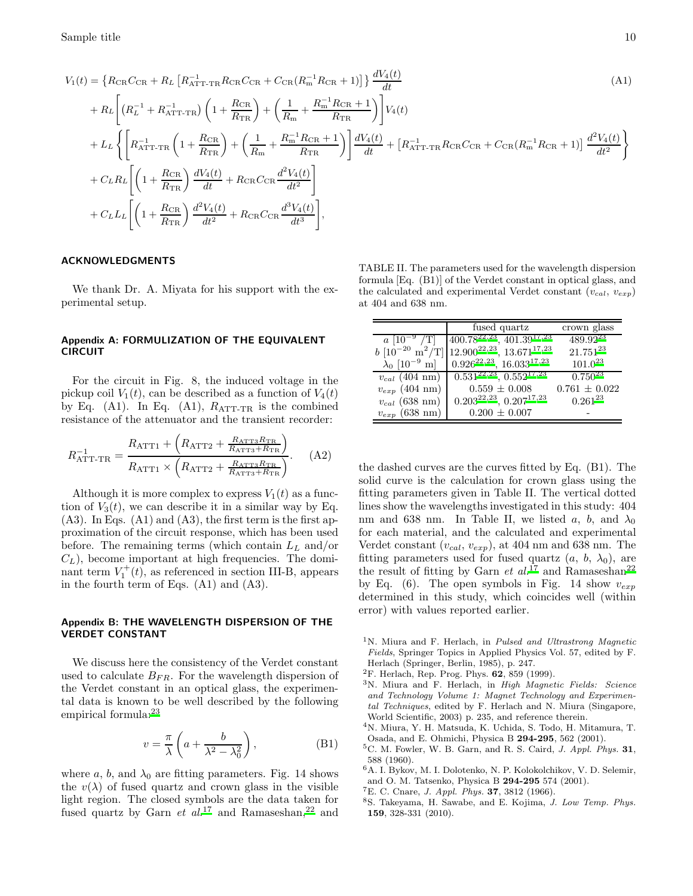$$
V_{1}(t) = \left\{ R_{\text{CR}} C_{\text{CR}} + R_{L} \left[ R_{\text{ATT-TR}}^{-1} R_{\text{CR}} C_{\text{CR}} + C_{\text{CR}} (R_{\text{m}}^{-1} R_{\text{CR}} + 1) \right] \right\} \frac{dV_{4}(t)}{dt}
$$
\n
$$
+ R_{L} \left[ \left( R_{L}^{-1} + R_{\text{ATT-TR}}^{-1} \right) \left( 1 + \frac{R_{\text{CR}}}{R_{\text{TR}}} \right) + \left( \frac{1}{R_{\text{m}}} + \frac{R_{\text{m}}^{-1} R_{\text{CR}} + 1}{R_{\text{TR}}} \right) \right] V_{4}(t)
$$
\n
$$
+ L_{L} \left\{ \left[ R_{\text{ATT-TR}}^{-1} \left( 1 + \frac{R_{\text{CR}}}{R_{\text{TR}}} \right) + \left( \frac{1}{R_{\text{m}}} + \frac{R_{\text{m}}^{-1} R_{\text{CR}} + 1}{R_{\text{TR}}} \right) \right] \frac{dV_{4}(t)}{dt} + \left[ R_{\text{ATT-TR}}^{-1} R_{\text{CR}} C_{\text{CR}} + C_{\text{CR}} (R_{\text{m}}^{-1} R_{\text{CR}} + 1) \right] \frac{d^{2}V_{4}(t)}{dt^{2}} \right\}
$$
\n
$$
+ C_{L} R_{L} \left[ \left( 1 + \frac{R_{\text{CR}}}{R_{\text{TR}}} \right) \frac{dV_{4}(t)}{dt} + R_{\text{CR}} C_{\text{CR}} \frac{d^{2}V_{4}(t)}{dt^{2}} \right]
$$
\n
$$
+ C_{L} L_{L} \left[ \left( 1 + \frac{R_{\text{CR}}}{R_{\text{TR}}} \right) \frac{d^{2}V_{4}(t)}{dt^{2}} + R_{\text{CR}} C_{\text{CR}} \frac{d^{3}V_{4}(t)}{dt^{3}} \right],
$$
\n(M1)

## ACKNOWLEDGMENTS

We thank Dr. A. Miyata for his support with the experimental setup.

## Appendix A: FORMULIZATION OF THE EQUIVALENT CIRCUIT

For the circuit in Fig. 8, the induced voltage in the pickup coil  $V_1(t)$ , can be described as a function of  $V_4(t)$ by Eq. (A1). In Eq. (A1),  $R_{\text{ATT-TR}}$  is the combined resistance of the attenuator and the transient recorder:

$$
R_{\text{ATT-TR}}^{-1} = \frac{R_{\text{ATT1}} + \left(R_{\text{ATT2}} + \frac{R_{\text{ATT3}}R_{\text{TR}}}{R_{\text{ATT3}} + R_{\text{TR}}}\right)}{R_{\text{ATT1}} \times \left(R_{\text{ATT2}} + \frac{R_{\text{ATT3}}R_{\text{TR}}}{R_{\text{ATT3}} + R_{\text{TR}}}\right)}.
$$
 (A2)

Although it is more complex to express  $V_1(t)$  as a function of  $V_3(t)$ , we can describe it in a similar way by Eq.  $(A3)$ . In Eqs.  $(A1)$  and  $(A3)$ , the first term is the first approximation of the circuit response, which has been used before. The remaining terms (which contain  $L<sub>L</sub>$  and/or  $C_L$ ), become important at high frequencies. The dominant term  $V_1^+(t)$ , as referenced in section III-B, appears in the fourth term of Eqs. (A1) and (A3).

### Appendix B: THE WAVELENGTH DISPERSION OF THE VERDET CONSTANT

We discuss here the consistency of the Verdet constant used to calculate  $B_{FR}$ . For the wavelength dispersion of the Verdet constant in an optical glass, the experimental data is known to be well described by the following empirical formula:<sup>[23](#page-10-10)</sup>

$$
v = \frac{\pi}{\lambda} \left( a + \frac{b}{\lambda^2 - \lambda_0^2} \right),
$$
 (B1)

where  $a, b$ , and  $\lambda_0$  are fitting parameters. Fig. 14 shows the  $v(\lambda)$  of fused quartz and crown glass in the visible light region. The closed symbols are the data taken for fused quartz by Garn  $et al.<sup>17</sup>$  $et al.<sup>17</sup>$  $et al.<sup>17</sup>$  and Ramaseshan,<sup>[22](#page-10-12)</sup> and

TABLE II. The parameters used for the wavelength dispersion formula [Eq. (B1)] of the Verdet constant in optical glass, and the calculated and experimental Verdet constant  $(v_{cal}, v_{exp})$ at 404 and 638 nm.

|                                     | fused quartz                                  | crown glass       |
|-------------------------------------|-----------------------------------------------|-------------------|
| $a [10^{-9} /T]$                    | $\left[400.78^{22,23}, 401.39^{17,23}\right]$ | $489.92^{23}$     |
| $b [10^{-20} \text{ m}^2/\text{T}]$ | $12.900^{22,23}$ , $13.671^{17,23}$           | $21.751^{23}$     |
| $\lambda_0$ [10 <sup>-9</sup> m]    | $0.926^{22,23}, 16.033^{17,23}$               | $101.0^{23}$      |
| $v_{cal}$ (404 nm)                  | $0.531^{22,23}, 0.552^{17,23}$                | $0.750^{23}$      |
| $v_{exp}$ (404 nm)                  | $0.559 \pm 0.008$                             | $0.761 \pm 0.022$ |
| $v_{cal}$ (638 nm)                  | $0.203^{22,23}, 0.207^{17,23}$                | $0.261^{23}$      |
| $v_{exp}$ (638 nm)                  | $0.200 \pm 0.007$                             |                   |

the dashed curves are the curves fitted by Eq. (B1). The solid curve is the calculation for crown glass using the fitting parameters given in Table II. The vertical dotted lines show the wavelengths investigated in this study: 404 nm and 638 nm. In Table II, we listed a, b, and  $\lambda_0$ for each material, and the calculated and experimental Verdet constant  $(v_{cal}, v_{exp})$ , at 404 nm and 638 nm. The fitting parameters used for fused quartz  $(a, b, \lambda_0)$ , are the result of fitting by Garn et  $al.^{17}$  $al.^{17}$  $al.^{17}$  and Ramaseshan<sup>[22](#page-10-12)</sup> by Eq. (6). The open symbols in Fig. 14 show  $v_{exp}$ determined in this study, which coincides well (within error) with values reported earlier.

- <span id="page-9-0"></span><sup>1</sup>N. Miura and F. Herlach, in *Pulsed and Ultrastrong Magnetic Fields*, Springer Topics in Applied Physics Vol. 57, edited by F. Herlach (Springer, Berlin, 1985), p. 247.
- <sup>2</sup>F. Herlach, Rep. Prog. Phys. 62, 859 (1999).
- <span id="page-9-1"></span><sup>3</sup>N. Miura and F. Herlach, in *High Magnetic Fields: Science and Technology Volume 1: Magnet Technology and Experimental Techniques*, edited by F. Herlach and N. Miura (Singapore, World Scientific, 2003) p. 235, and reference therein.
- <span id="page-9-2"></span><sup>4</sup>N. Miura, Y. H. Matsuda, K. Uchida, S. Todo, H. Mitamura, T. Osada, and E. Ohmichi, Physica B 294-295, 562 (2001).
- <span id="page-9-3"></span><sup>5</sup>C. M. Fowler, W. B. Garn, and R. S. Caird, *J. Appl. Phys.* 31, 588 (1960).
- <span id="page-9-4"></span><sup>6</sup>A. I. Bykov, M. I. Dolotenko, N. P. Kolokolchikov, V. D. Selemir, and O. M. Tatsenko, Physica B 294-295 574 (2001).
- <span id="page-9-5"></span><sup>7</sup>E. C. Cnare, *J. Appl. Phys.* 37, 3812 (1966).
- <span id="page-9-6"></span><sup>8</sup>S. Takeyama, H. Sawabe, and E. Kojima, *J. Low Temp. Phys.* 159, 328-331 (2010).